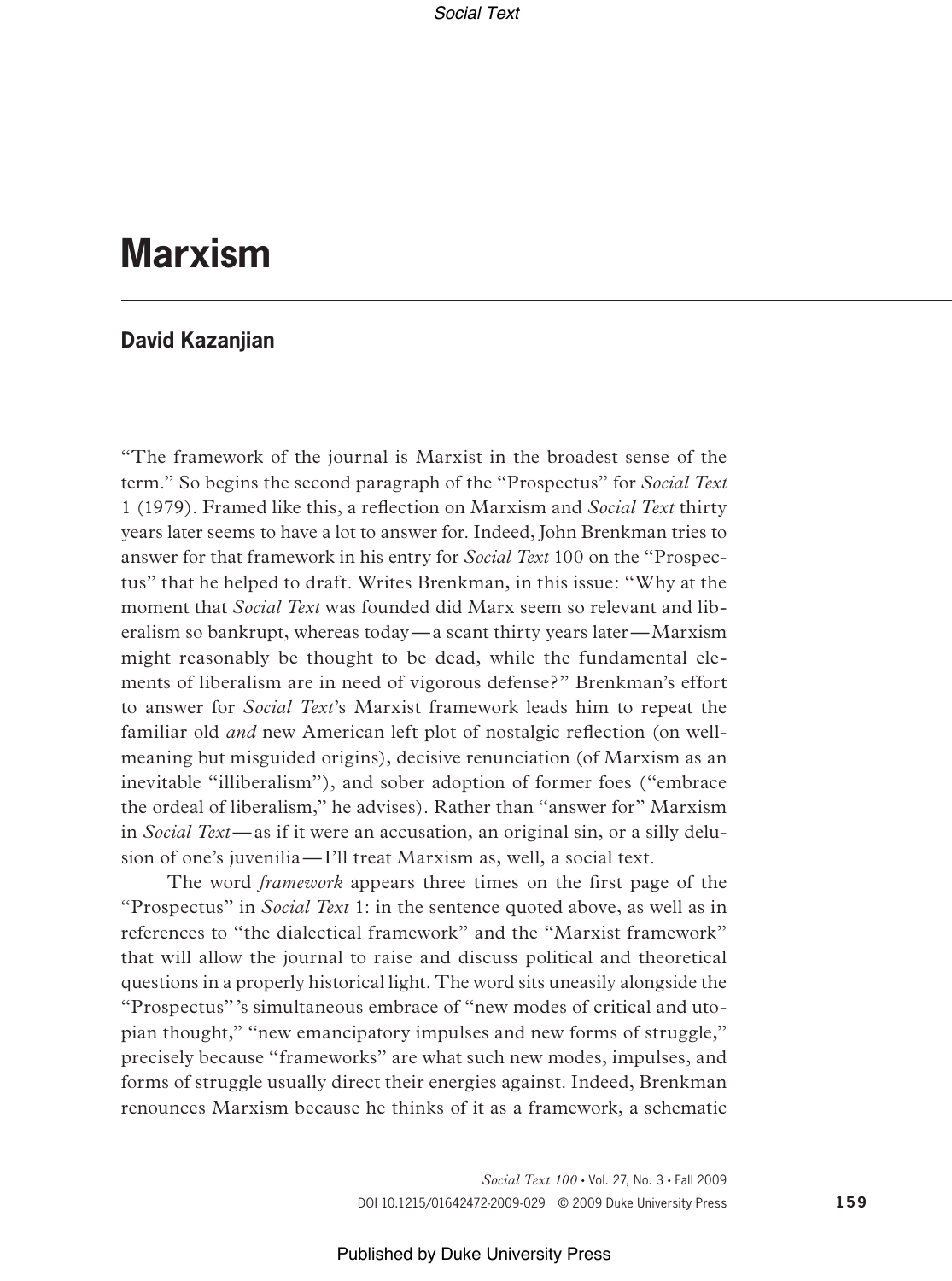## **Marxism**

## **David Kazanjian**

"The framework of the journal is Marxist in the broadest sense of the term." So begins the second paragraph of the "Prospectus" for *Social Text* 1 (1979). Framed like this, a reflection on Marxism and *Social Text* thirty years later seems to have a lot to answer for. Indeed, John Brenkman tries to answer for that framework in his entry for *Social Text* 100 on the "Prospectus" that he helped to draft. Writes Brenkman, in this issue: "Why at the moment that *Social Text* was founded did Marx seem so relevant and liberalism so bankrupt, whereas today—a scant thirty years later—Marxism might reasonably be thought to be dead, while the fundamental elements of liberalism are in need of vigorous defense?" Brenkman's effort to answer for *Social Text*'s Marxist framework leads him to repeat the familiar old *and* new American left plot of nostalgic reflection (on wellmeaning but misguided origins), decisive renunciation (of Marxism as an inevitable "illiberalism"), and sober adoption of former foes ("embrace the ordeal of liberalism," he advises). Rather than "answer for" Marxism in *Social Text*—as if it were an accusation, an original sin, or a silly delusion of one's juvenilia—I'll treat Marxism as, well, a social text.

The word *framework* appears three times on the first page of the "Prospectus" in *Social Text* 1: in the sentence quoted above, as well as in references to "the dialectical framework" and the "Marxist framework" that will allow the journal to raise and discuss political and theoretical questions in a properly historical light. The word sits uneasily alongside the "Prospectus" 's simultaneous embrace of "new modes of critical and utopian thought," "new emancipatory impulses and new forms of struggle," precisely because "frameworks" are what such new modes, impulses, and forms of struggle usually direct their energies against. Indeed, Brenkman renounces Marxism because he thinks of it as a framework, a schematic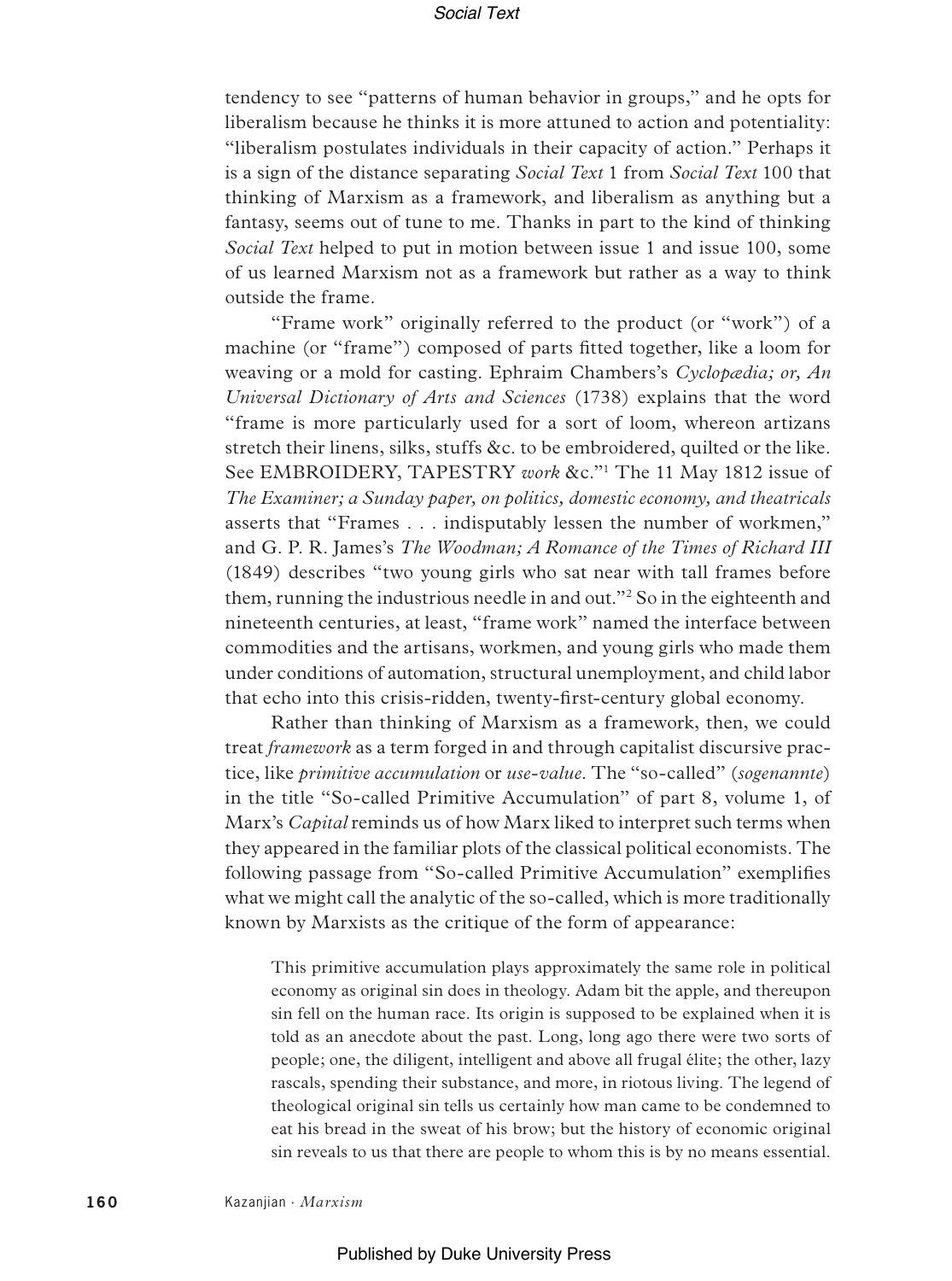tendency to see "patterns of human behavior in groups," and he opts for liberalism because he thinks it is more attuned to action and potentiality: "liberalism postulates individuals in their capacity of action." Perhaps it is a sign of the distance separating *Social Text* 1 from *Social Text* 100 that thinking of Marxism as a framework, and liberalism as anything but a fantasy, seems out of tune to me. Thanks in part to the kind of thinking *Social Text* helped to put in motion between issue 1 and issue 100, some of us learned Marxism not as a framework but rather as a way to think outside the frame.

"Frame work" originally referred to the product (or "work") of a machine (or "frame") composed of parts fitted together, like a loom for weaving or a mold for casting. Ephraim Chambers's *Cyclopædia; or, An Universal Dictionary of Arts and Sciences* (1738) explains that the word "frame is more particularly used for a sort of loom, whereon artizans stretch their linens, silks, stuffs &c. to be embroidered, quilted or the like. See EMBROIDERY, TAPESTRY *work* &c."1 The 11 May 1812 issue of *The Examiner; a Sunday paper, on politics, domestic economy, and theatricals* asserts that "Frames . . . indisputably lessen the number of workmen," and G. P. R. James's *The Woodman; A Romance of the Times of Richard III* (1849) describes "two young girls who sat near with tall frames before them, running the industrious needle in and out."2 So in the eighteenth and nineteenth centuries, at least, "frame work" named the interface between commodities and the artisans, workmen, and young girls who made them under conditions of automation, structural unemployment, and child labor that echo into this crisis-ridden, twenty-first-century global economy.

Rather than thinking of Marxism as a framework, then, we could treat *framework* as a term forged in and through capitalist discursive practice, like *primitive accumulation* or *use-value*. The "so-called" (*sogenannte*) in the title "So-called Primitive Accumulation" of part 8, volume 1, of Marx's *Capital* reminds us of how Marx liked to interpret such terms when they appeared in the familiar plots of the classical political economists. The following passage from "So-called Primitive Accumulation" exemplifies what we might call the analytic of the so-called, which is more traditionally known by Marxists as the critique of the form of appearance:

This primitive accumulation plays approximately the same role in political economy as original sin does in theology. Adam bit the apple, and thereupon sin fell on the human race. Its origin is supposed to be explained when it is told as an anecdote about the past. Long, long ago there were two sorts of people; one, the diligent, intelligent and above all frugal élite; the other, lazy rascals, spending their substance, and more, in riotous living. The legend of theological original sin tells us certainly how man came to be condemned to eat his bread in the sweat of his brow; but the history of economic original sin reveals to us that there are people to whom this is by no means essential.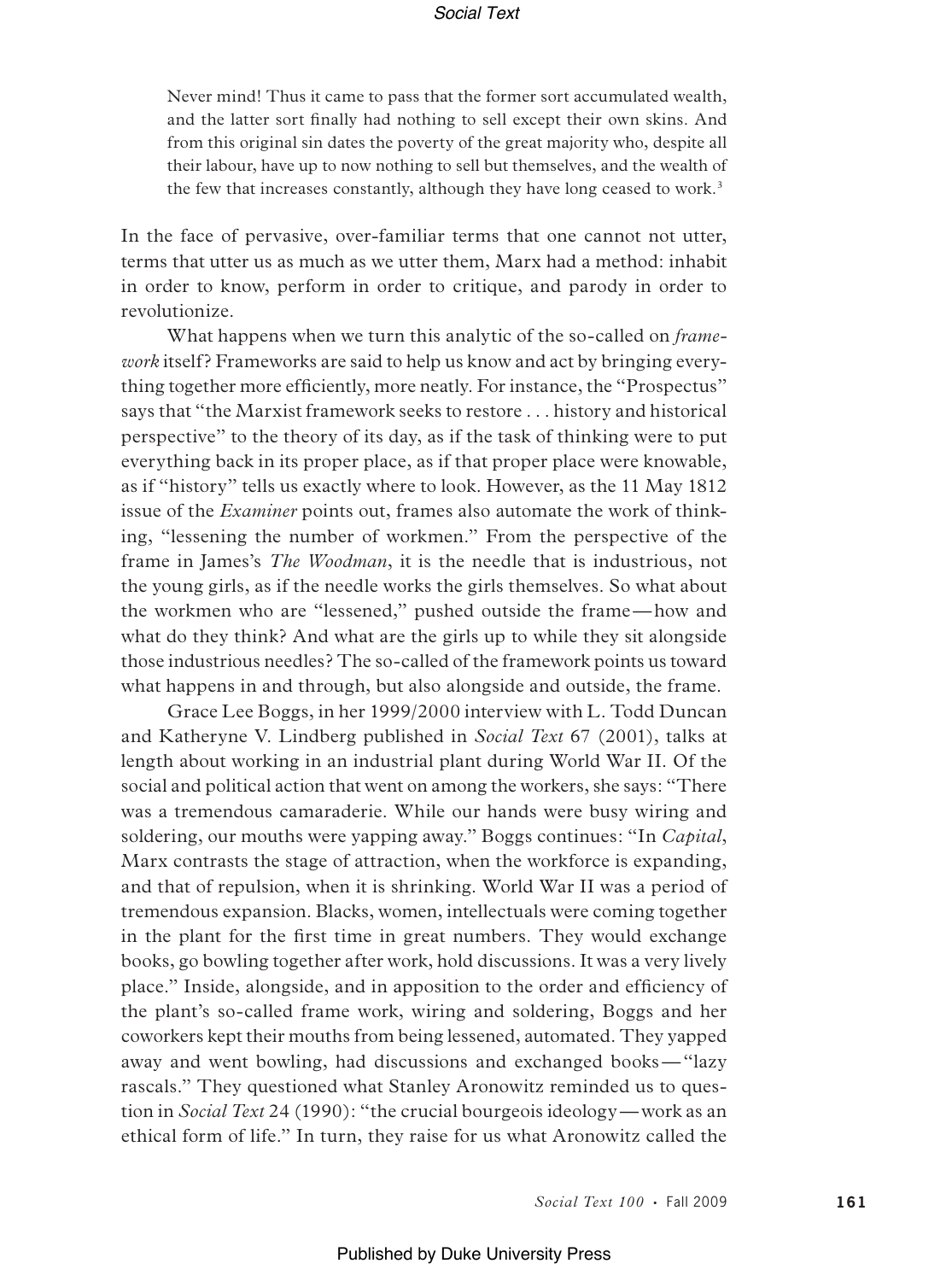Never mind! Thus it came to pass that the former sort accumulated wealth, and the latter sort finally had nothing to sell except their own skins. And from this original sin dates the poverty of the great majority who, despite all their labour, have up to now nothing to sell but themselves, and the wealth of the few that increases constantly, although they have long ceased to work.<sup>3</sup>

In the face of pervasive, over-familiar terms that one cannot not utter, terms that utter us as much as we utter them, Marx had a method: inhabit in order to know, perform in order to critique, and parody in order to revolutionize.

What happens when we turn this analytic of the so-called on *framework* itself? Frameworks are said to help us know and act by bringing everything together more efficiently, more neatly. For instance, the "Prospectus" says that "the Marxist framework seeks to restore . . . history and historical perspective" to the theory of its day, as if the task of thinking were to put everything back in its proper place, as if that proper place were knowable, as if "history" tells us exactly where to look. However, as the 11 May 1812 issue of the *Examiner* points out, frames also automate the work of thinking, "lessening the number of workmen." From the perspective of the frame in James's *The Woodman*, it is the needle that is industrious, not the young girls, as if the needle works the girls themselves. So what about the workmen who are "lessened," pushed outside the frame—how and what do they think? And what are the girls up to while they sit alongside those industrious needles? The so-called of the framework points us toward what happens in and through, but also alongside and outside, the frame.

Grace Lee Boggs, in her 1999/2000 interview with L. Todd Duncan and Katheryne V. Lindberg published in *Social Text* 67 (2001), talks at length about working in an industrial plant during World War II. Of the social and political action that went on among the workers, she says: "There was a tremendous camaraderie. While our hands were busy wiring and soldering, our mouths were yapping away." Boggs continues: "In *Capital*, Marx contrasts the stage of attraction, when the workforce is expanding, and that of repulsion, when it is shrinking. World War II was a period of tremendous expansion. Blacks, women, intellectuals were coming together in the plant for the first time in great numbers. They would exchange books, go bowling together after work, hold discussions. It was a very lively place." Inside, alongside, and in apposition to the order and efficiency of the plant's so-called frame work, wiring and soldering, Boggs and her coworkers kept their mouths from being lessened, automated. They yapped away and went bowling, had discussions and exchanged books—"lazy rascals." They questioned what Stanley Aronowitz reminded us to question in *Social Text* 24 (1990): "the crucial bourgeois ideology—work as an ethical form of life." In turn, they raise for us what Aronowitz called the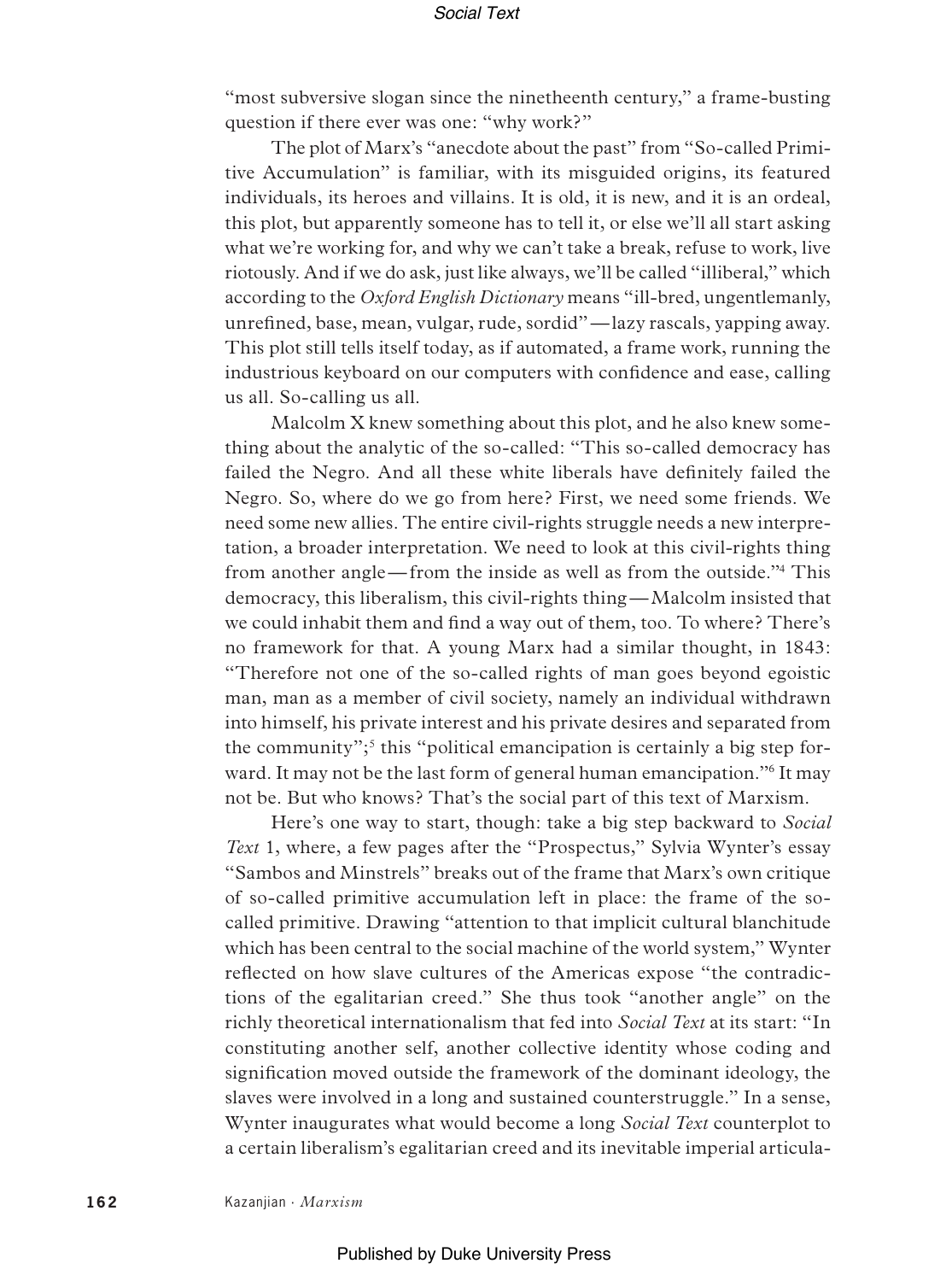"most subversive slogan since the ninetheenth century," a frame-busting question if there ever was one: "why work?"

The plot of Marx's "anecdote about the past" from "So-called Primitive Accumulation" is familiar, with its misguided origins, its featured individuals, its heroes and villains. It is old, it is new, and it is an ordeal, this plot, but apparently someone has to tell it, or else we'll all start asking what we're working for, and why we can't take a break, refuse to work, live riotously. And if we do ask, just like always, we'll be called "illiberal," which according to the *Oxford English Dictionary* means "ill-bred, ungentlemanly, unrefined, base, mean, vulgar, rude, sordid"—lazy rascals, yapping away. This plot still tells itself today, as if automated, a frame work, running the industrious keyboard on our computers with confidence and ease, calling us all. So-calling us all.

Malcolm X knew something about this plot, and he also knew something about the analytic of the so-called: "This so-called democracy has failed the Negro. And all these white liberals have definitely failed the Negro. So, where do we go from here? First, we need some friends. We need some new allies. The entire civil-rights struggle needs a new interpretation, a broader interpretation. We need to look at this civil-rights thing from another angle—from the inside as well as from the outside."4 This democracy, this liberalism, this civil-rights thing—Malcolm insisted that we could inhabit them and find a way out of them, too. To where? There's no framework for that. A young Marx had a similar thought, in 1843: "Therefore not one of the so-called rights of man goes beyond egoistic man, man as a member of civil society, namely an individual withdrawn into himself, his private interest and his private desires and separated from the community";<sup>5</sup> this "political emancipation is certainly a big step forward. It may not be the last form of general human emancipation."<sup>6</sup> It may not be. But who knows? That's the social part of this text of Marxism.

Here's one way to start, though: take a big step backward to *Social Text* 1, where, a few pages after the "Prospectus," Sylvia Wynter's essay "Sambos and Minstrels" breaks out of the frame that Marx's own critique of so-called primitive accumulation left in place: the frame of the socalled primitive. Drawing "attention to that implicit cultural blanchitude which has been central to the social machine of the world system," Wynter reflected on how slave cultures of the Americas expose "the contradictions of the egalitarian creed." She thus took "another angle" on the richly theoretical internationalism that fed into *Social Text* at its start: "In constituting another self, another collective identity whose coding and signification moved outside the framework of the dominant ideology, the slaves were involved in a long and sustained counterstruggle." In a sense, Wynter inaugurates what would become a long *Social Text* counterplot to a certain liberalism's egalitarian creed and its inevitable imperial articula